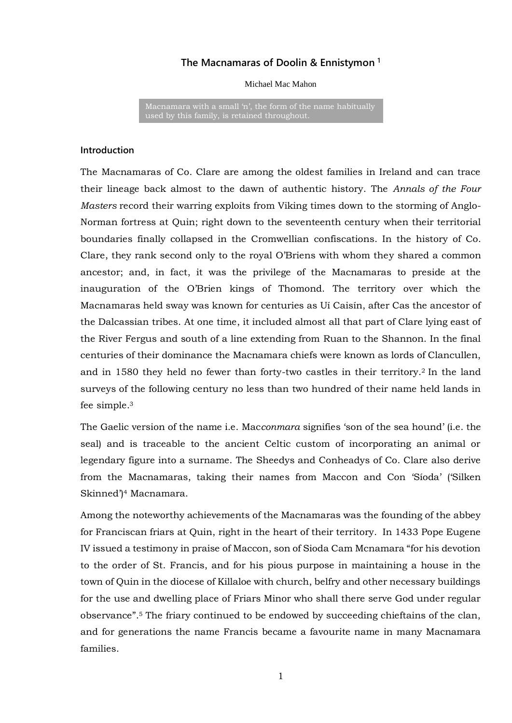# **The Macnamaras of Doolin & Ennistymon <sup>1</sup>**

Michael Mac Mahon

Macnamara with a small 'n', the form of the name habitually used by this family, is retained throughout.

### **Introduction**

The Macnamaras of Co. Clare are among the oldest families in Ireland and can trace their lineage back almost to the dawn of authentic history. The *Annals of the Four Masters* record their warring exploits from Viking times down to the storming of Anglo-Norman fortress at Quin; right down to the seventeenth century when their territorial boundaries finally collapsed in the Cromwellian confiscations. In the history of Co. Clare, they rank second only to the royal O'Briens with whom they shared a common ancestor; and, in fact, it was the privilege of the Macnamaras to preside at the inauguration of the O'Brien kings of Thomond. The territory over which the Macnamaras held sway was known for centuries as Uí Caisín, after Cas the ancestor of the Dalcassian tribes. At one time, it included almost all that part of Clare lying east of the River Fergus and south of a line extending from Ruan to the Shannon. In the final centuries of their dominance the Macnamara chiefs were known as lords of Clancullen, and in 1580 they held no fewer than forty-two castles in their territory.<sup>2</sup> In the land surveys of the following century no less than two hundred of their name held lands in fee simple.<sup>3</sup>

The Gaelic version of the name i.e. Mac*conmara* signifies 'son of the sea hound' (i.e. the seal) and is traceable to the ancient Celtic custom of incorporating an animal or legendary figure into a surname. The Sheedys and Conheadys of Co. Clare also derive from the Macnamaras, taking their names from Maccon and Con 'Síoda' ('Silken Skinned')<sup>4</sup> Macnamara.

Among the noteworthy achievements of the Macnamaras was the founding of the abbey for Franciscan friars at Quin, right in the heart of their territory. In 1433 Pope Eugene IV issued a testimony in praise of Maccon, son of Sioda Cam Mcnamara "for his devotion to the order of St. Francis, and for his pious purpose in maintaining a house in the town of Quin in the diocese of Killaloe with church, belfry and other necessary buildings for the use and dwelling place of Friars Minor who shall there serve God under regular observance".<sup>5</sup> The friary continued to be endowed by succeeding chieftains of the clan, and for generations the name Francis became a favourite name in many Macnamara families.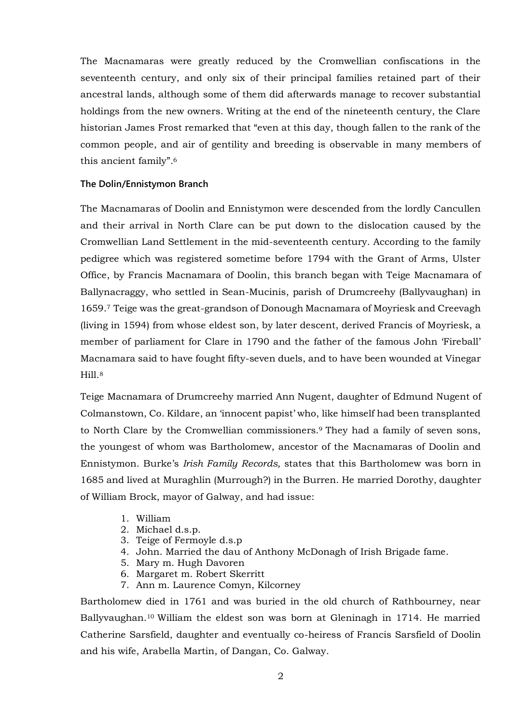The Macnamaras were greatly reduced by the Cromwellian confiscations in the seventeenth century, and only six of their principal families retained part of their ancestral lands, although some of them did afterwards manage to recover substantial holdings from the new owners. Writing at the end of the nineteenth century, the Clare historian James Frost remarked that "even at this day, though fallen to the rank of the common people, and air of gentility and breeding is observable in many members of this ancient family".<sup>6</sup>

### **The Dolin/Ennistymon Branch**

The Macnamaras of Doolin and Ennistymon were descended from the lordly Cancullen and their arrival in North Clare can be put down to the dislocation caused by the Cromwellian Land Settlement in the mid-seventeenth century. According to the family pedigree which was registered sometime before 1794 with the Grant of Arms, Ulster Office, by Francis Macnamara of Doolin, this branch began with Teige Macnamara of Ballynacraggy, who settled in Sean-Mucinis, parish of Drumcreehy (Ballyvaughan) in 1659.<sup>7</sup> Teige was the great-grandson of Donough Macnamara of Moyriesk and Creevagh (living in 1594) from whose eldest son, by later descent, derived Francis of Moyriesk, a member of parliament for Clare in 1790 and the father of the famous John 'Fireball' Macnamara said to have fought fifty-seven duels, and to have been wounded at Vinegar Hill 8

Teige Macnamara of Drumcreehy married Ann Nugent, daughter of Edmund Nugent of Colmanstown, Co. Kildare, an 'innocent papist' who, like himself had been transplanted to North Clare by the Cromwellian commissioners.<sup>9</sup> They had a family of seven sons, the youngest of whom was Bartholomew, ancestor of the Macnamaras of Doolin and Ennistymon. Burke's *Irish Family Records,* states that this Bartholomew was born in 1685 and lived at Muraghlin (Murrough?) in the Burren. He married Dorothy, daughter of William Brock, mayor of Galway, and had issue:

- 1. William
- 2. Michael d.s.p.
- 3. Teige of Fermoyle d.s.p
- 4. John. Married the dau of Anthony McDonagh of Irish Brigade fame.
- 5. Mary m. Hugh Davoren
- 6. Margaret m. Robert Skerritt
- 7. Ann m. Laurence Comyn, Kilcorney

Bartholomew died in 1761 and was buried in the old church of Rathbourney, near Ballyvaughan.<sup>10</sup> William the eldest son was born at Gleninagh in 1714. He married Catherine Sarsfield, daughter and eventually co-heiress of Francis Sarsfield of Doolin and his wife, Arabella Martin, of Dangan, Co. Galway.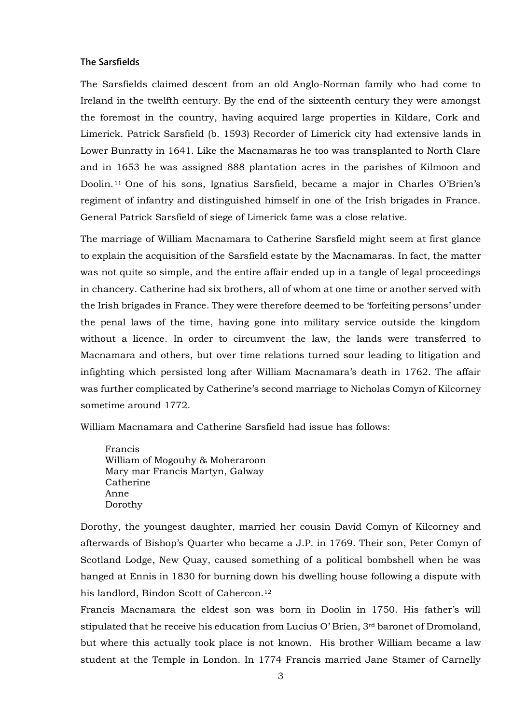#### **The Sarsfields**

The Sarsfields claimed descent from an old Anglo-Norman family who had come to Ireland in the twelfth century. By the end of the sixteenth century they were amongst the foremost in the country, having acquired large properties in Kildare, Cork and Limerick. Patrick Sarsfield (b. 1593) Recorder of Limerick city had extensive lands in Lower Bunratty in 1641. Like the Macnamaras he too was transplanted to North Clare and in 1653 he was assigned 888 plantation acres in the parishes of Kilmoon and Doolin.<sup>11</sup> One of his sons, Ignatius Sarsfield, became a major in Charles O'Brien's regiment of infantry and distinguished himself in one of the Irish brigades in France. General Patrick Sarsfield of siege of Limerick fame was a close relative.

The marriage of William Macnamara to Catherine Sarsfield might seem at first glance to explain the acquisition of the Sarsfield estate by the Macnamaras. In fact, the matter was not quite so simple, and the entire affair ended up in a tangle of legal proceedings in chancery. Catherine had six brothers, all of whom at one time or another served with the Irish brigades in France. They were therefore deemed to be 'forfeiting persons' under the penal laws of the time, having gone into military service outside the kingdom without a licence. In order to circumvent the law, the lands were transferred to Macnamara and others, but over time relations turned sour leading to litigation and infighting which persisted long after William Macnamara's death in 1762. The affair was further complicated by Catherine's second marriage to Nicholas Comyn of Kilcorney sometime around 1772.

William Macnamara and Catherine Sarsfield had issue has follows:

Francis William of Mogouhy & Moheraroon Mary mar Francis Martyn, Galway Catherine Anne Dorothy

Dorothy, the youngest daughter, married her cousin David Comyn of Kilcorney and afterwards of Bishop's Quarter who became a J.P. in 1769. Their son, Peter Comyn of Scotland Lodge, New Quay, caused something of a political bombshell when he was hanged at Ennis in 1830 for burning down his dwelling house following a dispute with his landlord, Bindon Scott of Cahercon.<sup>12</sup>

Francis Macnamara the eldest son was born in Doolin in 1750. His father's will stipulated that he receive his education from Lucius O' Brien, 3rd baronet of Dromoland, but where this actually took place is not known. His brother William became a law student at the Temple in London. In 1774 Francis married Jane Stamer of Carnelly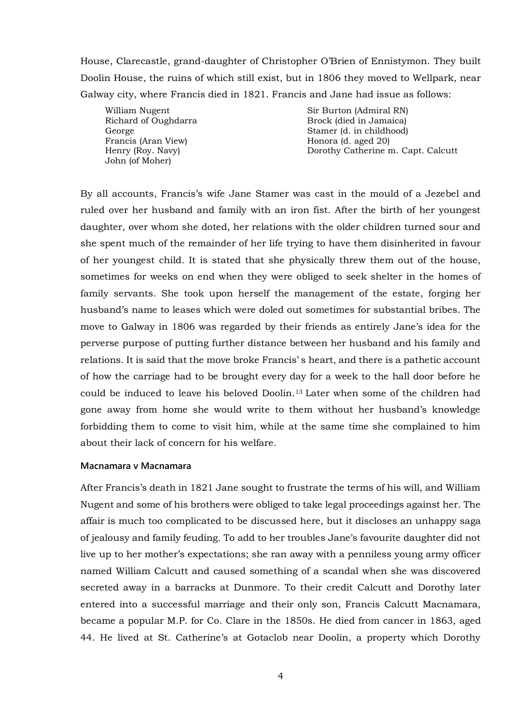House, Clarecastle, grand-daughter of Christopher O'Brien of Ennistymon. They built Doolin House, the ruins of which still exist, but in 1806 they moved to Wellpark, near Galway city, where Francis died in 1821. Francis and Jane had issue as follows:

William Nugent Richard of Oughdarra George Francis (Aran View) Henry (Roy. Navy) John (of Moher)

Sir Burton (Admiral RN) Brock (died in Jamaica) Stamer (d. in childhood) Honora (d. aged 20) Dorothy Catherine m. Capt. Calcutt

By all accounts, Francis's wife Jane Stamer was cast in the mould of a Jezebel and ruled over her husband and family with an iron fist. After the birth of her youngest daughter, over whom she doted, her relations with the older children turned sour and she spent much of the remainder of her life trying to have them disinherited in favour of her youngest child. It is stated that she physically threw them out of the house, sometimes for weeks on end when they were obliged to seek shelter in the homes of family servants. She took upon herself the management of the estate, forging her husband's name to leases which were doled out sometimes for substantial bribes. The move to Galway in 1806 was regarded by their friends as entirely Jane's idea for the perverse purpose of putting further distance between her husband and his family and relations. It is said that the move broke Francis' s heart, and there is a pathetic account of how the carriage had to be brought every day for a week to the hall door before he could be induced to leave his beloved Doolin.<sup>13</sup> Later when some of the children had gone away from home she would write to them without her husband's knowledge forbidding them to come to visit him, while at the same time she complained to him about their lack of concern for his welfare.

### **Macnamara v Macnamara**

After Francis's death in 1821 Jane sought to frustrate the terms of his will, and William Nugent and some of his brothers were obliged to take legal proceedings against her. The affair is much too complicated to be discussed here, but it discloses an unhappy saga of jealousy and family feuding. To add to her troubles Jane's favourite daughter did not live up to her mother's expectations; she ran away with a penniless young army officer named William Calcutt and caused something of a scandal when she was discovered secreted away in a barracks at Dunmore. To their credit Calcutt and Dorothy later entered into a successful marriage and their only son, Francis Calcutt Macnamara, became a popular M.P. for Co. Clare in the 1850s. He died from cancer in 1863, aged 44. He lived at St. Catherine's at Gotaclob near Doolin, a property which Dorothy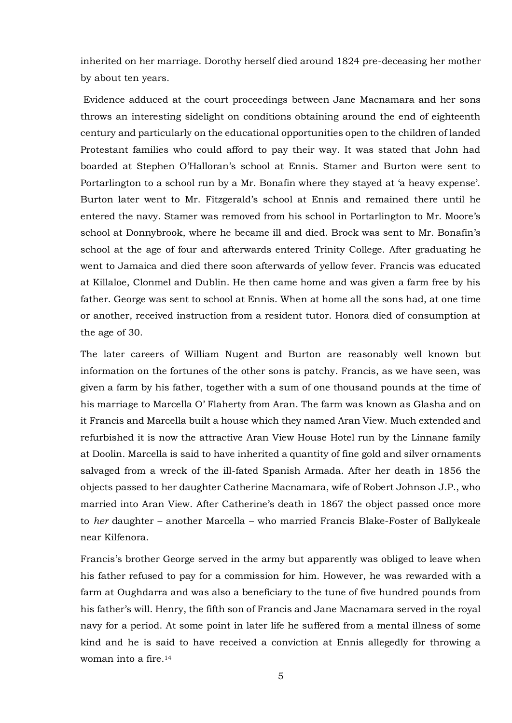inherited on her marriage. Dorothy herself died around 1824 pre-deceasing her mother by about ten years.

Evidence adduced at the court proceedings between Jane Macnamara and her sons throws an interesting sidelight on conditions obtaining around the end of eighteenth century and particularly on the educational opportunities open to the children of landed Protestant families who could afford to pay their way. It was stated that John had boarded at Stephen O'Halloran's school at Ennis. Stamer and Burton were sent to Portarlington to a school run by a Mr. Bonafin where they stayed at 'a heavy expense'. Burton later went to Mr. Fitzgerald's school at Ennis and remained there until he entered the navy. Stamer was removed from his school in Portarlington to Mr. Moore's school at Donnybrook, where he became ill and died. Brock was sent to Mr. Bonafin's school at the age of four and afterwards entered Trinity College. After graduating he went to Jamaica and died there soon afterwards of yellow fever. Francis was educated at Killaloe, Clonmel and Dublin. He then came home and was given a farm free by his father. George was sent to school at Ennis. When at home all the sons had, at one time or another, received instruction from a resident tutor. Honora died of consumption at the age of 30.

The later careers of William Nugent and Burton are reasonably well known but information on the fortunes of the other sons is patchy. Francis, as we have seen, was given a farm by his father, together with a sum of one thousand pounds at the time of his marriage to Marcella O' Flaherty from Aran. The farm was known as Glasha and on it Francis and Marcella built a house which they named Aran View. Much extended and refurbished it is now the attractive Aran View House Hotel run by the Linnane family at Doolin. Marcella is said to have inherited a quantity of fine gold and silver ornaments salvaged from a wreck of the ill-fated Spanish Armada. After her death in 1856 the objects passed to her daughter Catherine Macnamara, wife of Robert Johnson J.P., who married into Aran View. After Catherine's death in 1867 the object passed once more to *her* daughter – another Marcella – who married Francis Blake-Foster of Ballykeale near Kilfenora.

Francis's brother George served in the army but apparently was obliged to leave when his father refused to pay for a commission for him. However, he was rewarded with a farm at Oughdarra and was also a beneficiary to the tune of five hundred pounds from his father's will. Henry, the fifth son of Francis and Jane Macnamara served in the royal navy for a period. At some point in later life he suffered from a mental illness of some kind and he is said to have received a conviction at Ennis allegedly for throwing a woman into a fire.14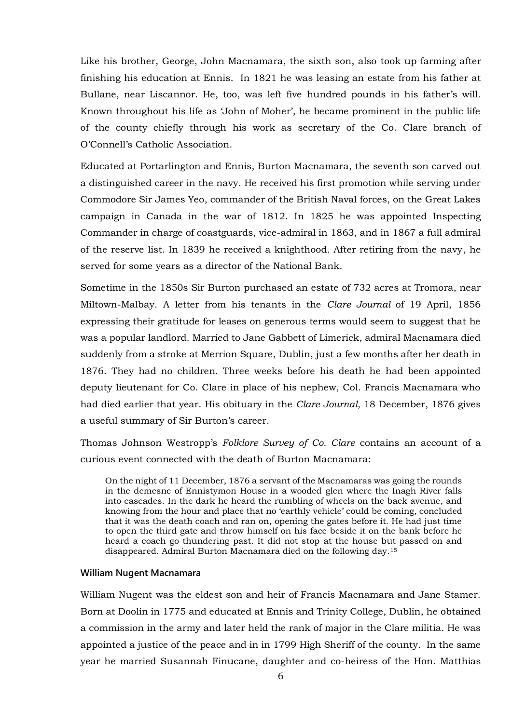Like his brother, George, John Macnamara, the sixth son, also took up farming after finishing his education at Ennis. In 1821 he was leasing an estate from his father at Bullane, near Liscannor. He, too, was left five hundred pounds in his father's will. Known throughout his life as 'John of Moher', he became prominent in the public life of the county chiefly through his work as secretary of the Co. Clare branch of O'Connell's Catholic Association.

Educated at Portarlington and Ennis, Burton Macnamara, the seventh son carved out a distinguished career in the navy. He received his first promotion while serving under Commodore Sir James Yeo, commander of the British Naval forces, on the Great Lakes campaign in Canada in the war of 1812. In 1825 he was appointed Inspecting Commander in charge of coastguards, vice-admiral in 1863, and in 1867 a full admiral of the reserve list. In 1839 he received a knighthood. After retiring from the navy, he served for some years as a director of the National Bank.

Sometime in the 1850s Sir Burton purchased an estate of 732 acres at Tromora, near Miltown-Malbay. A letter from his tenants in the *Clare Journal* of 19 April, 1856 expressing their gratitude for leases on generous terms would seem to suggest that he was a popular landlord. Married to Jane Gabbett of Limerick, admiral Macnamara died suddenly from a stroke at Merrion Square, Dublin, just a few months after her death in 1876. They had no children. Three weeks before his death he had been appointed deputy lieutenant for Co. Clare in place of his nephew, Col. Francis Macnamara who had died earlier that year. His obituary in the *Clare Journal*, 18 December, 1876 gives a useful summary of Sir Burton's career.

Thomas Johnson Westropp's *Folklore Survey of Co. Clare* contains an account of a curious event connected with the death of Burton Macnamara:

On the night of 11 December, 1876 a servant of the Macnamaras was going the rounds in the demesne of Ennistymon House in a wooded glen where the Inagh River falls into cascades. In the dark he heard the rumbling of wheels on the back avenue, and knowing from the hour and place that no 'earthly vehicle' could be coming, concluded that it was the death coach and ran on, opening the gates before it. He had just time to open the third gate and throw himself on his face beside it on the bank before he heard a coach go thundering past. It did not stop at the house but passed on and disappeared. Admiral Burton Macnamara died on the following day.<sup>15</sup>

#### **William Nugent Macnamara**

William Nugent was the eldest son and heir of Francis Macnamara and Jane Stamer. Born at Doolin in 1775 and educated at Ennis and Trinity College, Dublin, he obtained a commission in the army and later held the rank of major in the Clare militia. He was appointed a justice of the peace and in in 1799 High Sheriff of the county. In the same year he married Susannah Finucane, daughter and co-heiress of the Hon. Matthias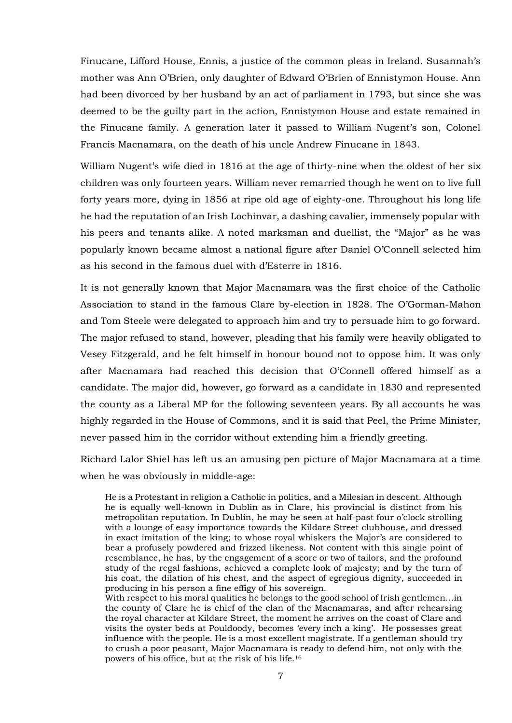Finucane, Lifford House, Ennis, a justice of the common pleas in Ireland. Susannah's mother was Ann O'Brien, only daughter of Edward O'Brien of Ennistymon House. Ann had been divorced by her husband by an act of parliament in 1793, but since she was deemed to be the guilty part in the action, Ennistymon House and estate remained in the Finucane family. A generation later it passed to William Nugent's son, Colonel Francis Macnamara, on the death of his uncle Andrew Finucane in 1843.

William Nugent's wife died in 1816 at the age of thirty-nine when the oldest of her six children was only fourteen years. William never remarried though he went on to live full forty years more, dying in 1856 at ripe old age of eighty-one. Throughout his long life he had the reputation of an Irish Lochinvar, a dashing cavalier, immensely popular with his peers and tenants alike. A noted marksman and duellist, the "Major" as he was popularly known became almost a national figure after Daniel O'Connell selected him as his second in the famous duel with d'Esterre in 1816.

It is not generally known that Major Macnamara was the first choice of the Catholic Association to stand in the famous Clare by-election in 1828. The O'Gorman-Mahon and Tom Steele were delegated to approach him and try to persuade him to go forward. The major refused to stand, however, pleading that his family were heavily obligated to Vesey Fitzgerald, and he felt himself in honour bound not to oppose him. It was only after Macnamara had reached this decision that O'Connell offered himself as a candidate. The major did, however, go forward as a candidate in 1830 and represented the county as a Liberal MP for the following seventeen years. By all accounts he was highly regarded in the House of Commons, and it is said that Peel, the Prime Minister, never passed him in the corridor without extending him a friendly greeting.

Richard Lalor Shiel has left us an amusing pen picture of Major Macnamara at a time when he was obviously in middle-age:

He is a Protestant in religion a Catholic in politics, and a Milesian in descent. Although he is equally well-known in Dublin as in Clare, his provincial is distinct from his metropolitan reputation. In Dublin, he may be seen at half-past four o'clock strolling with a lounge of easy importance towards the Kildare Street clubhouse, and dressed in exact imitation of the king; to whose royal whiskers the Major's are considered to bear a profusely powdered and frizzed likeness. Not content with this single point of resemblance, he has, by the engagement of a score or two of tailors, and the profound study of the regal fashions, achieved a complete look of majesty; and by the turn of his coat, the dilation of his chest, and the aspect of egregious dignity, succeeded in producing in his person a fine effigy of his sovereign.

With respect to his moral qualities he belongs to the good school of Irish gentlemen…in the county of Clare he is chief of the clan of the Macnamaras, and after rehearsing the royal character at Kildare Street, the moment he arrives on the coast of Clare and visits the oyster beds at Pouldoody, becomes 'every inch a king'. He possesses great influence with the people. He is a most excellent magistrate. If a gentleman should try to crush a poor peasant, Major Macnamara is ready to defend him, not only with the powers of his office, but at the risk of his life.16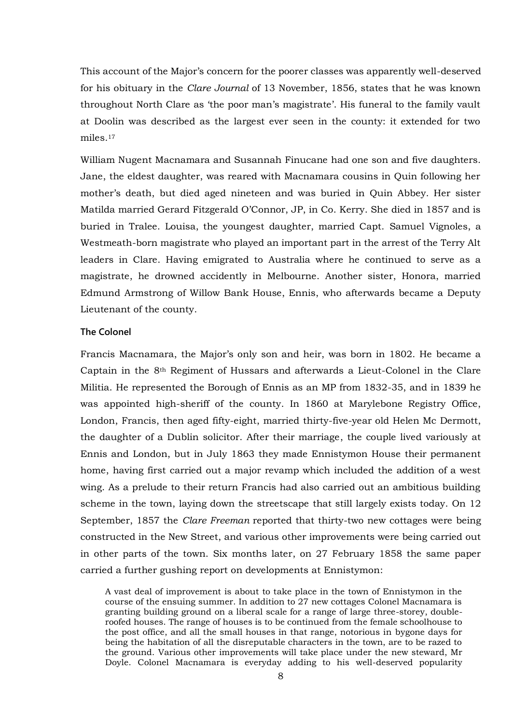This account of the Major's concern for the poorer classes was apparently well-deserved for his obituary in the *Clare Journal* of 13 November, 1856, states that he was known throughout North Clare as 'the poor man's magistrate'. His funeral to the family vault at Doolin was described as the largest ever seen in the county: it extended for two miles.<sup>17</sup>

William Nugent Macnamara and Susannah Finucane had one son and five daughters. Jane, the eldest daughter, was reared with Macnamara cousins in Quin following her mother's death, but died aged nineteen and was buried in Quin Abbey. Her sister Matilda married Gerard Fitzgerald O'Connor, JP, in Co. Kerry. She died in 1857 and is buried in Tralee. Louisa, the youngest daughter, married Capt. Samuel Vignoles, a Westmeath-born magistrate who played an important part in the arrest of the Terry Alt leaders in Clare. Having emigrated to Australia where he continued to serve as a magistrate, he drowned accidently in Melbourne. Another sister, Honora, married Edmund Armstrong of Willow Bank House, Ennis, who afterwards became a Deputy Lieutenant of the county.

### **The Colonel**

Francis Macnamara, the Major's only son and heir, was born in 1802. He became a Captain in the 8th Regiment of Hussars and afterwards a Lieut-Colonel in the Clare Militia. He represented the Borough of Ennis as an MP from 1832-35, and in 1839 he was appointed high-sheriff of the county. In 1860 at Marylebone Registry Office, London, Francis, then aged fifty-eight, married thirty-five-year old Helen Mc Dermott, the daughter of a Dublin solicitor. After their marriage, the couple lived variously at Ennis and London, but in July 1863 they made Ennistymon House their permanent home, having first carried out a major revamp which included the addition of a west wing. As a prelude to their return Francis had also carried out an ambitious building scheme in the town, laying down the streetscape that still largely exists today. On 12 September, 1857 the *Clare Freeman* reported that thirty-two new cottages were being constructed in the New Street, and various other improvements were being carried out in other parts of the town. Six months later, on 27 February 1858 the same paper carried a further gushing report on developments at Ennistymon:

A vast deal of improvement is about to take place in the town of Ennistymon in the course of the ensuing summer. In addition to 27 new cottages Colonel Macnamara is granting building ground on a liberal scale for a range of large three-storey, doubleroofed houses. The range of houses is to be continued from the female schoolhouse to the post office, and all the small houses in that range, notorious in bygone days for being the habitation of all the disreputable characters in the town, are to be razed to the ground. Various other improvements will take place under the new steward, Mr Doyle. Colonel Macnamara is everyday adding to his well-deserved popularity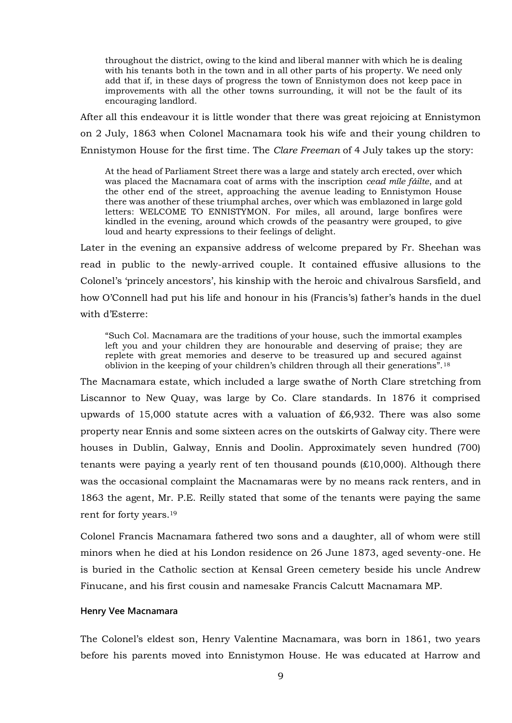throughout the district, owing to the kind and liberal manner with which he is dealing with his tenants both in the town and in all other parts of his property. We need only add that if, in these days of progress the town of Ennistymon does not keep pace in improvements with all the other towns surrounding, it will not be the fault of its encouraging landlord.

After all this endeavour it is little wonder that there was great rejoicing at Ennistymon on 2 July, 1863 when Colonel Macnamara took his wife and their young children to Ennistymon House for the first time. The *Clare Freeman* of 4 July takes up the story:

At the head of Parliament Street there was a large and stately arch erected, over which was placed the Macnamara coat of arms with the inscription *cead míle fáilte*, and at the other end of the street, approaching the avenue leading to Ennistymon House there was another of these triumphal arches, over which was emblazoned in large gold letters: WELCOME TO ENNISTYMON. For miles, all around, large bonfires were kindled in the evening, around which crowds of the peasantry were grouped, to give loud and hearty expressions to their feelings of delight.

Later in the evening an expansive address of welcome prepared by Fr. Sheehan was read in public to the newly-arrived couple. It contained effusive allusions to the Colonel's 'princely ancestors', his kinship with the heroic and chivalrous Sarsfield, and how O'Connell had put his life and honour in his (Francis's) father's hands in the duel with d'Esterre:

"Such Col. Macnamara are the traditions of your house, such the immortal examples left you and your children they are honourable and deserving of praise; they are replete with great memories and deserve to be treasured up and secured against oblivion in the keeping of your children's children through all their generations".<sup>18</sup>

The Macnamara estate, which included a large swathe of North Clare stretching from Liscannor to New Quay, was large by Co. Clare standards. In 1876 it comprised upwards of 15,000 statute acres with a valuation of £6,932. There was also some property near Ennis and some sixteen acres on the outskirts of Galway city. There were houses in Dublin, Galway, Ennis and Doolin. Approximately seven hundred (700) tenants were paying a yearly rent of ten thousand pounds (£10,000). Although there was the occasional complaint the Macnamaras were by no means rack renters, and in 1863 the agent, Mr. P.E. Reilly stated that some of the tenants were paying the same rent for forty years.<sup>19</sup>

Colonel Francis Macnamara fathered two sons and a daughter, all of whom were still minors when he died at his London residence on 26 June 1873, aged seventy-one. He is buried in the Catholic section at Kensal Green cemetery beside his uncle Andrew Finucane, and his first cousin and namesake Francis Calcutt Macnamara MP.

#### **Henry Vee Macnamara**

The Colonel's eldest son, Henry Valentine Macnamara, was born in 1861, two years before his parents moved into Ennistymon House. He was educated at Harrow and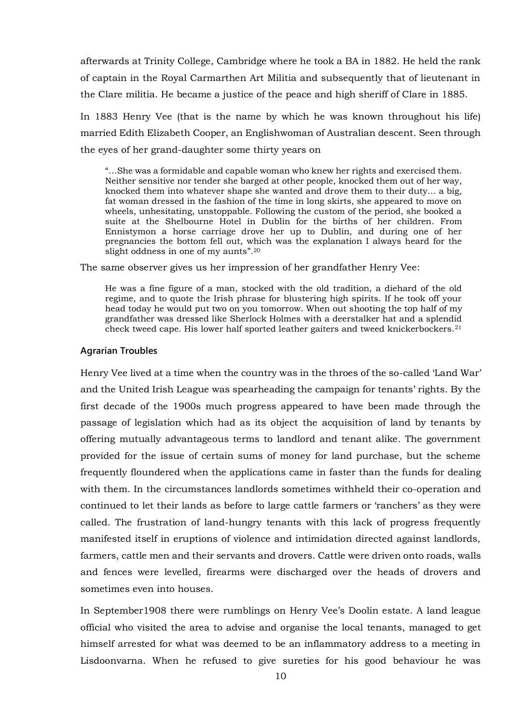afterwards at Trinity College, Cambridge where he took a BA in 1882. He held the rank of captain in the Royal Carmarthen Art Militia and subsequently that of lieutenant in the Clare militia. He became a justice of the peace and high sheriff of Clare in 1885.

In 1883 Henry Vee (that is the name by which he was known throughout his life) married Edith Elizabeth Cooper, an Englishwoman of Australian descent. Seen through the eyes of her grand-daughter some thirty years on

"…She was a formidable and capable woman who knew her rights and exercised them. Neither sensitive nor tender she barged at other people, knocked them out of her way, knocked them into whatever shape she wanted and drove them to their duty… a big, fat woman dressed in the fashion of the time in long skirts, she appeared to move on wheels, unhesitating, unstoppable. Following the custom of the period, she booked a suite at the Shelbourne Hotel in Dublin for the births of her children. From Ennistymon a horse carriage drove her up to Dublin, and during one of her pregnancies the bottom fell out, which was the explanation I always heard for the slight oddness in one of my aunts". 20

The same observer gives us her impression of her grandfather Henry Vee:

He was a fine figure of a man, stocked with the old tradition, a diehard of the old regime, and to quote the Irish phrase for blustering high spirits. If he took off your head today he would put two on you tomorrow. When out shooting the top half of my grandfather was dressed like Sherlock Holmes with a deerstalker hat and a splendid check tweed cape. His lower half sported leather gaiters and tweed knickerbockers.<sup>21</sup>

#### **Agrarian Troubles**

Henry Vee lived at a time when the country was in the throes of the so-called 'Land War' and the United Irish League was spearheading the campaign for tenants' rights. By the first decade of the 1900s much progress appeared to have been made through the passage of legislation which had as its object the acquisition of land by tenants by offering mutually advantageous terms to landlord and tenant alike. The government provided for the issue of certain sums of money for land purchase, but the scheme frequently floundered when the applications came in faster than the funds for dealing with them. In the circumstances landlords sometimes withheld their co-operation and continued to let their lands as before to large cattle farmers or 'ranchers' as they were called. The frustration of land-hungry tenants with this lack of progress frequently manifested itself in eruptions of violence and intimidation directed against landlords, farmers, cattle men and their servants and drovers. Cattle were driven onto roads, walls and fences were levelled, firearms were discharged over the heads of drovers and sometimes even into houses.

In September1908 there were rumblings on Henry Vee's Doolin estate. A land league official who visited the area to advise and organise the local tenants, managed to get himself arrested for what was deemed to be an inflammatory address to a meeting in Lisdoonvarna. When he refused to give sureties for his good behaviour he was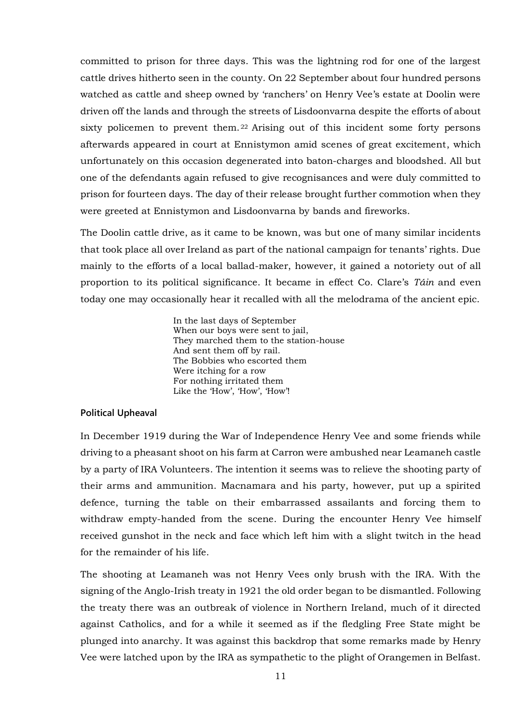committed to prison for three days. This was the lightning rod for one of the largest cattle drives hitherto seen in the county. On 22 September about four hundred persons watched as cattle and sheep owned by 'ranchers' on Henry Vee's estate at Doolin were driven off the lands and through the streets of Lisdoonvarna despite the efforts of about sixty policemen to prevent them.<sup>22</sup> Arising out of this incident some forty persons afterwards appeared in court at Ennistymon amid scenes of great excitement, which unfortunately on this occasion degenerated into baton-charges and bloodshed. All but one of the defendants again refused to give recognisances and were duly committed to prison for fourteen days. The day of their release brought further commotion when they were greeted at Ennistymon and Lisdoonvarna by bands and fireworks.

The Doolin cattle drive, as it came to be known, was but one of many similar incidents that took place all over Ireland as part of the national campaign for tenants' rights. Due mainly to the efforts of a local ballad-maker, however, it gained a notoriety out of all proportion to its political significance. It became in effect Co. Clare's *Táin* and even today one may occasionally hear it recalled with all the melodrama of the ancient epic.

> In the last days of September When our boys were sent to jail, They marched them to the station-house And sent them off by rail. The Bobbies who escorted them Were itching for a row For nothing irritated them Like the 'How', 'How', 'How'!

#### **Political Upheaval**

In December 1919 during the War of Independence Henry Vee and some friends while driving to a pheasant shoot on his farm at Carron were ambushed near Leamaneh castle by a party of IRA Volunteers. The intention it seems was to relieve the shooting party of their arms and ammunition. Macnamara and his party, however, put up a spirited defence, turning the table on their embarrassed assailants and forcing them to withdraw empty-handed from the scene. During the encounter Henry Vee himself received gunshot in the neck and face which left him with a slight twitch in the head for the remainder of his life.

The shooting at Leamaneh was not Henry Vees only brush with the IRA. With the signing of the Anglo-Irish treaty in 1921 the old order began to be dismantled. Following the treaty there was an outbreak of violence in Northern Ireland, much of it directed against Catholics, and for a while it seemed as if the fledgling Free State might be plunged into anarchy. It was against this backdrop that some remarks made by Henry Vee were latched upon by the IRA as sympathetic to the plight of Orangemen in Belfast.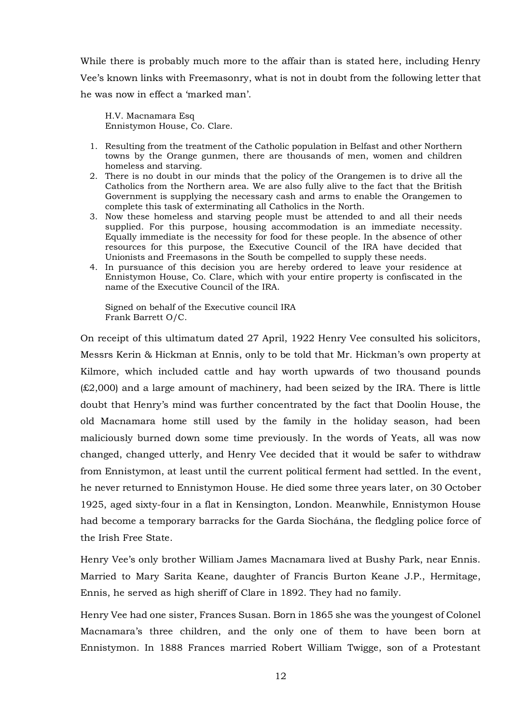While there is probably much more to the affair than is stated here, including Henry Vee's known links with Freemasonry, what is not in doubt from the following letter that he was now in effect a 'marked man'.

H.V. Macnamara Esq Ennistymon House, Co. Clare.

- 1. Resulting from the treatment of the Catholic population in Belfast and other Northern towns by the Orange gunmen, there are thousands of men, women and children homeless and starving.
- 2. There is no doubt in our minds that the policy of the Orangemen is to drive all the Catholics from the Northern area. We are also fully alive to the fact that the British Government is supplying the necessary cash and arms to enable the Orangemen to complete this task of exterminating all Catholics in the North.
- 3. Now these homeless and starving people must be attended to and all their needs supplied. For this purpose, housing accommodation is an immediate necessity. Equally immediate is the necessity for food for these people. In the absence of other resources for this purpose, the Executive Council of the IRA have decided that Unionists and Freemasons in the South be compelled to supply these needs.
- 4. In pursuance of this decision you are hereby ordered to leave your residence at Ennistymon House, Co. Clare, which with your entire property is confiscated in the name of the Executive Council of the IRA.

Signed on behalf of the Executive council IRA Frank Barrett O/C.

On receipt of this ultimatum dated 27 April, 1922 Henry Vee consulted his solicitors, Messrs Kerin & Hickman at Ennis, only to be told that Mr. Hickman's own property at Kilmore, which included cattle and hay worth upwards of two thousand pounds (£2,000) and a large amount of machinery, had been seized by the IRA. There is little doubt that Henry's mind was further concentrated by the fact that Doolin House, the old Macnamara home still used by the family in the holiday season, had been maliciously burned down some time previously. In the words of Yeats, all was now changed, changed utterly, and Henry Vee decided that it would be safer to withdraw from Ennistymon, at least until the current political ferment had settled. In the event, he never returned to Ennistymon House. He died some three years later, on 30 October 1925, aged sixty-four in a flat in Kensington, London. Meanwhile, Ennistymon House had become a temporary barracks for the Garda Siochána, the fledgling police force of the Irish Free State.

Henry Vee's only brother William James Macnamara lived at Bushy Park, near Ennis. Married to Mary Sarita Keane, daughter of Francis Burton Keane J.P., Hermitage, Ennis, he served as high sheriff of Clare in 1892. They had no family.

Henry Vee had one sister, Frances Susan. Born in 1865 she was the youngest of Colonel Macnamara's three children, and the only one of them to have been born at Ennistymon. In 1888 Frances married Robert William Twigge, son of a Protestant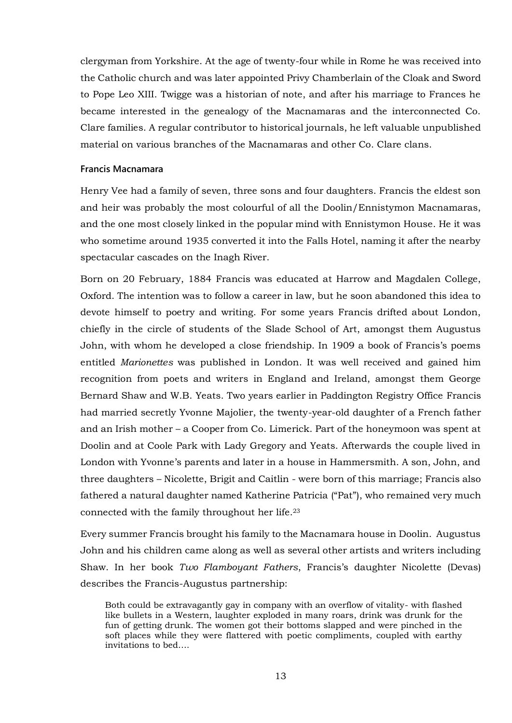clergyman from Yorkshire. At the age of twenty-four while in Rome he was received into the Catholic church and was later appointed Privy Chamberlain of the Cloak and Sword to Pope Leo XIII. Twigge was a historian of note, and after his marriage to Frances he became interested in the genealogy of the Macnamaras and the interconnected Co. Clare families. A regular contributor to historical journals, he left valuable unpublished material on various branches of the Macnamaras and other Co. Clare clans.

### **Francis Macnamara**

Henry Vee had a family of seven, three sons and four daughters. Francis the eldest son and heir was probably the most colourful of all the Doolin/Ennistymon Macnamaras, and the one most closely linked in the popular mind with Ennistymon House. He it was who sometime around 1935 converted it into the Falls Hotel, naming it after the nearby spectacular cascades on the Inagh River.

Born on 20 February, 1884 Francis was educated at Harrow and Magdalen College, Oxford. The intention was to follow a career in law, but he soon abandoned this idea to devote himself to poetry and writing. For some years Francis drifted about London, chiefly in the circle of students of the Slade School of Art, amongst them Augustus John, with whom he developed a close friendship. In 1909 a book of Francis's poems entitled *Marionettes* was published in London. It was well received and gained him recognition from poets and writers in England and Ireland, amongst them George Bernard Shaw and W.B. Yeats. Two years earlier in Paddington Registry Office Francis had married secretly Yvonne Majolier, the twenty-year-old daughter of a French father and an Irish mother – a Cooper from Co. Limerick. Part of the honeymoon was spent at Doolin and at Coole Park with Lady Gregory and Yeats. Afterwards the couple lived in London with Yvonne's parents and later in a house in Hammersmith. A son, John, and three daughters – Nicolette, Brigit and Caitlin - were born of this marriage; Francis also fathered a natural daughter named Katherine Patricia ("Pat"), who remained very much connected with the family throughout her life.<sup>23</sup>

Every summer Francis brought his family to the Macnamara house in Doolin. Augustus John and his children came along as well as several other artists and writers including Shaw. In her book *Two Flamboyant Fathers*, Francis's daughter Nicolette (Devas) describes the Francis-Augustus partnership:

Both could be extravagantly gay in company with an overflow of vitality- with flashed like bullets in a Western, laughter exploded in many roars, drink was drunk for the fun of getting drunk. The women got their bottoms slapped and were pinched in the soft places while they were flattered with poetic compliments, coupled with earthy invitations to bed….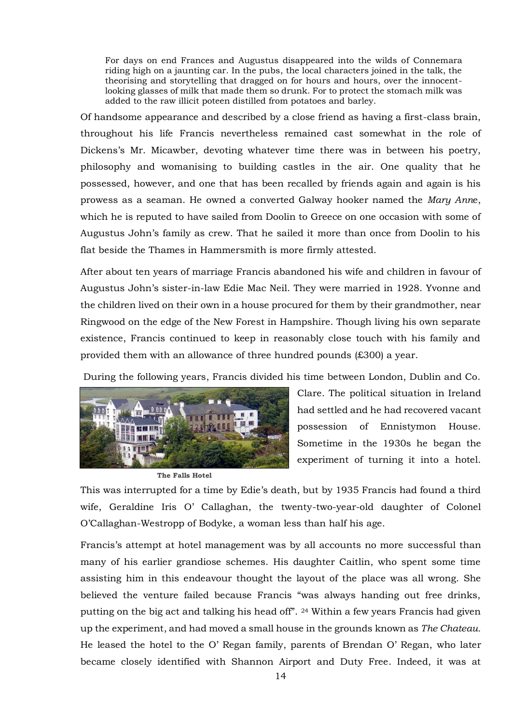For days on end Frances and Augustus disappeared into the wilds of Connemara riding high on a jaunting car. In the pubs, the local characters joined in the talk, the theorising and storytelling that dragged on for hours and hours, over the innocentlooking glasses of milk that made them so drunk. For to protect the stomach milk was added to the raw illicit poteen distilled from potatoes and barley.

Of handsome appearance and described by a close friend as having a first-class brain, throughout his life Francis nevertheless remained cast somewhat in the role of Dickens's Mr. Micawber, devoting whatever time there was in between his poetry, philosophy and womanising to building castles in the air. One quality that he possessed, however, and one that has been recalled by friends again and again is his prowess as a seaman. He owned a converted Galway hooker named the *Mary Ann*e, which he is reputed to have sailed from Doolin to Greece on one occasion with some of Augustus John's family as crew. That he sailed it more than once from Doolin to his flat beside the Thames in Hammersmith is more firmly attested.

After about ten years of marriage Francis abandoned his wife and children in favour of Augustus John's sister-in-law Edie Mac Neil. They were married in 1928. Yvonne and the children lived on their own in a house procured for them by their grandmother, near Ringwood on the edge of the New Forest in Hampshire. Though living his own separate existence, Francis continued to keep in reasonably close touch with his family and provided them with an allowance of three hundred pounds (£300) a year.

During the following years, Francis divided his time between London, Dublin and Co.



**The Falls Hotel** 

Clare. The political situation in Ireland had settled and he had recovered vacant possession of Ennistymon House. Sometime in the 1930s he began the experiment of turning it into a hotel.

This was interrupted for a time by Edie's death, but by 1935 Francis had found a third wife, Geraldine Iris O' Callaghan, the twenty-two-year-old daughter of Colonel O'Callaghan-Westropp of Bodyke, a woman less than half his age.

Francis's attempt at hotel management was by all accounts no more successful than many of his earlier grandiose schemes. His daughter Caitlin, who spent some time assisting him in this endeavour thought the layout of the place was all wrong. She believed the venture failed because Francis "was always handing out free drinks, putting on the big act and talking his head off". <sup>24</sup> Within a few years Francis had given up the experiment, and had moved a small house in the grounds known as *The Chateau.*  He leased the hotel to the O' Regan family, parents of Brendan O' Regan, who later became closely identified with Shannon Airport and Duty Free. Indeed, it was at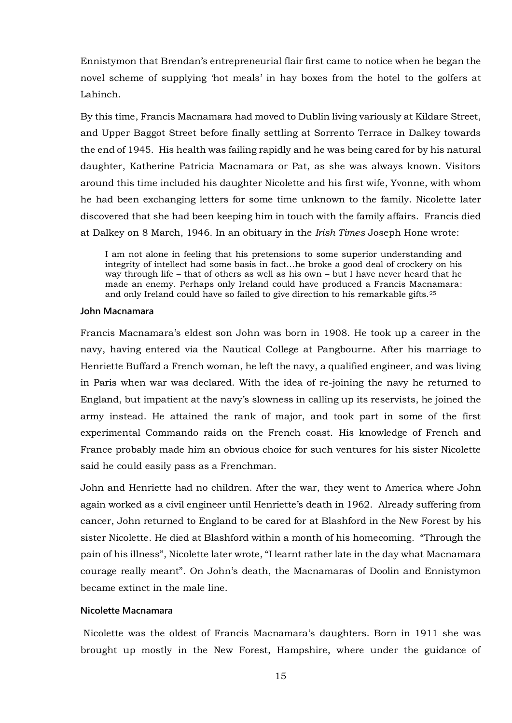Ennistymon that Brendan's entrepreneurial flair first came to notice when he began the novel scheme of supplying 'hot meals' in hay boxes from the hotel to the golfers at Lahinch.

By this time, Francis Macnamara had moved to Dublin living variously at Kildare Street, and Upper Baggot Street before finally settling at Sorrento Terrace in Dalkey towards the end of 1945. His health was failing rapidly and he was being cared for by his natural daughter, Katherine Patricia Macnamara or Pat, as she was always known. Visitors around this time included his daughter Nicolette and his first wife, Yvonne, with whom he had been exchanging letters for some time unknown to the family. Nicolette later discovered that she had been keeping him in touch with the family affairs. Francis died at Dalkey on 8 March, 1946. In an obituary in the *Irish Times* Joseph Hone wrote:

I am not alone in feeling that his pretensions to some superior understanding and integrity of intellect had some basis in fact…he broke a good deal of crockery on his way through life – that of others as well as his own – but I have never heard that he made an enemy. Perhaps only Ireland could have produced a Francis Macnamara: and only Ireland could have so failed to give direction to his remarkable gifts.<sup>25</sup>

#### **John Macnamara**

Francis Macnamara's eldest son John was born in 1908. He took up a career in the navy, having entered via the Nautical College at Pangbourne. After his marriage to Henriette Buffard a French woman, he left the navy, a qualified engineer, and was living in Paris when war was declared. With the idea of re-joining the navy he returned to England, but impatient at the navy's slowness in calling up its reservists, he joined the army instead. He attained the rank of major, and took part in some of the first experimental Commando raids on the French coast. His knowledge of French and France probably made him an obvious choice for such ventures for his sister Nicolette said he could easily pass as a Frenchman.

John and Henriette had no children. After the war, they went to America where John again worked as a civil engineer until Henriette's death in 1962. Already suffering from cancer, John returned to England to be cared for at Blashford in the New Forest by his sister Nicolette. He died at Blashford within a month of his homecoming. "Through the pain of his illness", Nicolette later wrote, "I learnt rather late in the day what Macnamara courage really meant". On John's death, the Macnamaras of Doolin and Ennistymon became extinct in the male line.

## **Nicolette Macnamara**

Nicolette was the oldest of Francis Macnamara's daughters. Born in 1911 she was brought up mostly in the New Forest, Hampshire, where under the guidance of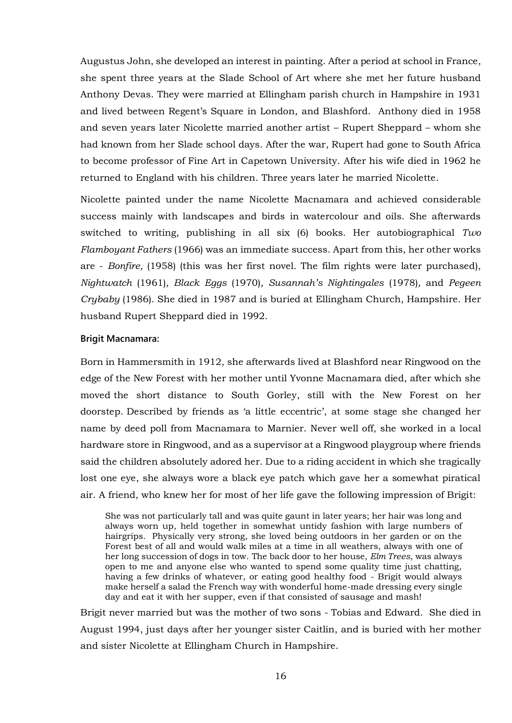Augustus John, she developed an interest in painting. After a period at school in France, she spent three years at the Slade School of Art where she met her future husband Anthony Devas. They were married at Ellingham parish church in Hampshire in 1931 and lived between Regent's Square in London, and Blashford. Anthony died in 1958 and seven years later Nicolette married another artist – Rupert Sheppard – whom she had known from her Slade school days. After the war, Rupert had gone to South Africa to become professor of Fine Art in Capetown University. After his wife died in 1962 he returned to England with his children. Three years later he married Nicolette.

Nicolette painted under the name Nicolette Macnamara and achieved considerable success mainly with landscapes and birds in watercolour and oils. She afterwards switched to writing, publishing in all six (6) books. Her autobiographical *Two Flamboyant Fathers* (1966) was an immediate success. Apart from this, her other works are - *Bonfire,* (1958) (this was her first novel. The film rights were later purchased), *Nightwatch* (1961)*, Black Eggs* (1970)*, Susannah's Nightingales* (1978)*,* and *Pegeen Crybaby* (1986). She died in 1987 and is buried at Ellingham Church, Hampshire. Her husband Rupert Sheppard died in 1992.

### **Brigit Macnamara:**

Born in Hammersmith in 1912, she afterwards lived at Blashford near Ringwood on the edge of the New Forest with her mother until Yvonne Macnamara died, after which she moved the short distance to South Gorley, still with the New Forest on her doorstep. Described by friends as 'a little eccentric', at some stage she changed her name by deed poll from Macnamara to Marnier. Never well off, she worked in a local hardware store in Ringwood, and as a supervisor at a Ringwood playgroup where friends said the children absolutely adored her. Due to a riding accident in which she tragically lost one eye, she always wore a black eye patch which gave her a somewhat piratical air. A friend, who knew her for most of her life gave the following impression of Brigit:

She was not particularly tall and was quite gaunt in later years; her hair was long and always worn up, held together in somewhat untidy fashion with large numbers of hairgrips. Physically very strong, she loved being outdoors in her garden or on the Forest best of all and would walk miles at a time in all weathers, always with one of her long succession of dogs in tow. The back door to her house, *Elm Trees*, was always open to me and anyone else who wanted to spend some quality time just chatting, having a few drinks of whatever, or eating good healthy food - Brigit would always make herself a salad the French way with wonderful home-made dressing every single day and eat it with her supper, even if that consisted of sausage and mash!

Brigit never married but was the mother of two sons - Tobias and Edward. She died in August 1994, just days after her younger sister Caitlin, and is buried with her mother and sister Nicolette at Ellingham Church in Hampshire.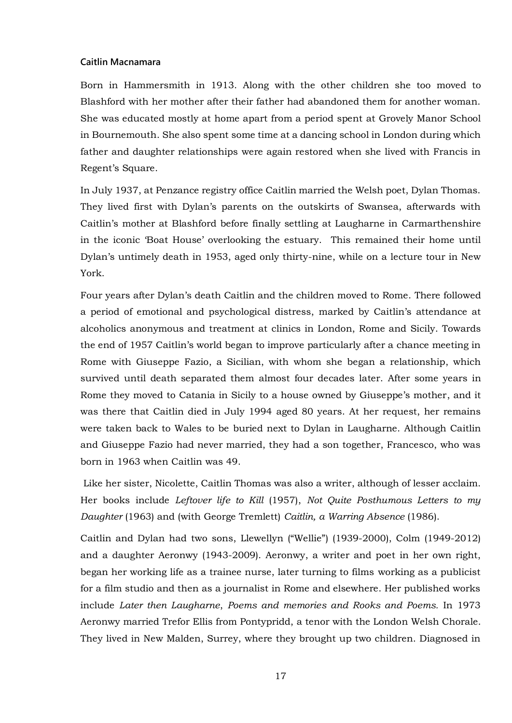## **Caitlin Macnamara**

Born in Hammersmith in 1913. Along with the other children she too moved to Blashford with her mother after their father had abandoned them for another woman. She was educated mostly at home apart from a period spent at Grovely Manor School in Bournemouth. She also spent some time at a dancing school in London during which father and daughter relationships were again restored when she lived with Francis in Regent's Square.

In July 1937, at Penzance registry office Caitlin married the Welsh poet, Dylan Thomas. They lived first with Dylan's parents on the outskirts of Swansea, afterwards with Caitlin's mother at Blashford before finally settling at Laugharne in Carmarthenshire in the iconic 'Boat House' overlooking the estuary. This remained their home until Dylan's untimely death in 1953, aged only thirty-nine, while on a lecture tour in New York.

Four years after Dylan's death Caitlin and the children moved to Rome. There followed a period of emotional and psychological distress, marked by Caitlin's attendance at alcoholics anonymous and treatment at clinics in London, Rome and Sicily. Towards the end of 1957 Caitlin's world began to improve particularly after a chance meeting in Rome with Giuseppe Fazio, a Sicilian, with whom she began a relationship, which survived until death separated them almost four decades later. After some years in Rome they moved to Catania in Sicily to a house owned by Giuseppe's mother, and it was there that Caitlin died in July 1994 aged 80 years. At her request, her remains were taken back to Wales to be buried next to Dylan in Laugharne. Although Caitlin and Giuseppe Fazio had never married, they had a son together, Francesco, who was born in 1963 when Caitlin was 49.

Like her sister, Nicolette, Caitlin Thomas was also a writer, although of lesser acclaim. Her books include *Leftover life to Kill* (1957), *Not Quite Posthumous Letters to my Daughter* (1963) and (with George Tremlett) *Caitlin, a Warring Absence* (1986).

Caitlin and Dylan had two sons, Llewellyn ("Wellie") (1939-2000), Colm (1949-2012) and a daughter Aeronwy (1943-2009). Aeronwy, a writer and poet in her own right, began her working life as a trainee nurse, later turning to films working as a publicist for a film studio and then as a journalist in Rome and elsewhere. Her published works include *Later then Laugharne*, *Poems and memories and Rooks and Poems.* In 1973 Aeronwy married Trefor Ellis from Pontypridd, a tenor with the London Welsh Chorale. They lived in New Malden, Surrey, where they brought up two children. Diagnosed in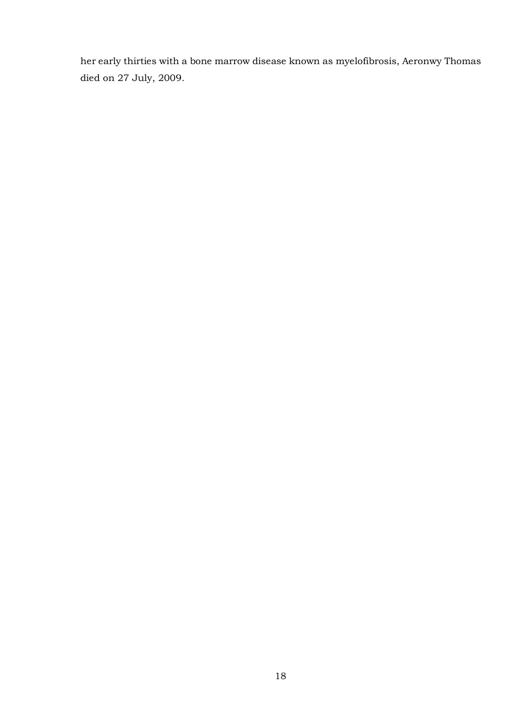her early thirties with a bone marrow disease known as myelofibrosis, Aeronwy Thomas died on 27 July, 2009.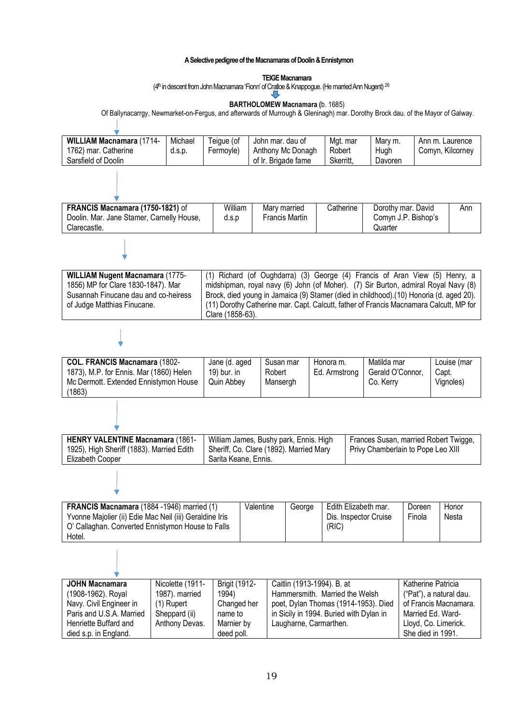#### **A Selective pedigree of the Macnamaras of Doolin & Ennistymon**

#### **TEIGE Macnamara**

(4<sup>th</sup> in descent from John Macnamara 'Fionn' of Cratloe & Knappogue. (He married Ann Nugent) <sup>26</sup>

## **BARTHOLOMEW Macnamara (**b. 1685)

Of Ballynacarrgy, Newmarket-on-Fergus, and afterwards of Murrough & Gleninagh) mar. Dorothy Brock dau. of the Mayor of Galway.

| <b>WILLIAM Macnamara (1714-</b> | Michael | Teique (of | John mar, dau of    | Mgt. mar  | Mary m. | Ann m. Laurence  |
|---------------------------------|---------|------------|---------------------|-----------|---------|------------------|
| 1762) mar. Catherine            | d.S.D.  | Fermovle)  | Anthony Mc Donagh   | Robert    | Hugh    | Comyn, Kilcorney |
| Sarsfield of Doolin             |         |            | of Ir. Brigade fame | Skerritt. | Davoren |                  |

| <b>FRANCIS Macnamara (1750-1821) of</b><br>Doolin. Mar. Jane Stamer, Carnelly House, | William<br>d.s.p | Mary married<br>Francis Martin | Catherine | Dorothy mar. David<br>Comvn J.P. Bishop's | Ann |
|--------------------------------------------------------------------------------------|------------------|--------------------------------|-----------|-------------------------------------------|-----|
| Clarecastle.                                                                         |                  |                                |           | Quarter                                   |     |

| <b>WILLIAM Nugent Macnamara (1775-</b> | (1) Richard (of Oughdarra) (3) George (4) Francis of Aran View (5) Henry, a             |
|----------------------------------------|-----------------------------------------------------------------------------------------|
| 1856) MP for Clare 1830-1847). Mar     | midshipman, royal navy (6) John (of Moher). (7) Sir Burton, admiral Royal Navy (8)      |
| Susannah Finucane dau and co-heiress   | Brock, died young in Jamaica (9) Stamer (died in childhood). (10) Honoria (d. aged 20). |
| of Judge Matthias Finucane.            | (11) Dorothy Catherine mar. Capt. Calcutt, father of Francis Macnamara Calcutt, MP for  |
|                                        | Clare (1858-63).                                                                        |

**COL. FRANCIS Macnamara** (1802- 1873), M.P. for Ennis. Mar (1860) Helen Mc Dermott. Extended Ennistymon House (1863) Jane (d. aged 19) bur. in Quin Abbey Susan mar Robert Mansergh Honora m. Ed. Armstrong Matilda mar Gerald O'Connor, Co. Kerry Louise (mar Capt. Vignoles)

┪

| <b>HENRY VALENTINE Macnamara (1861-</b>   | William James, Bushy park, Ennis. High  | Frances Susan, married Robert Twigge, |
|-------------------------------------------|-----------------------------------------|---------------------------------------|
| 1925), High Sheriff (1883). Married Edith | Sheriff, Co. Clare (1892). Married Mary | Privy Chamberlain to Pope Leo XIII    |
| Elizabeth Cooper                          | Sarita Keane, Ennis.                    |                                       |
|                                           |                                         |                                       |

| FRANCIS Macnamara (1884 -1946) married (1)<br>Yvonne Majolier (ii) Edie Mac Neil (iii) Geraldine Iris<br>O' Callaghan. Converted Ennistymon House to Falls<br>Hotel. | Valentine | George | Edith Elizabeth mar.<br>Dis. Inspector Cruise<br>(RIC) | Doreen<br>Finola | Honor<br>Nesta |
|----------------------------------------------------------------------------------------------------------------------------------------------------------------------|-----------|--------|--------------------------------------------------------|------------------|----------------|
|----------------------------------------------------------------------------------------------------------------------------------------------------------------------|-----------|--------|--------------------------------------------------------|------------------|----------------|

| JOHN Macnamara           | Nicolette (1911- | <b>Brigit (1912-</b> | Caitlin (1913-1994). B. at              | Katherine Patricia      |
|--------------------------|------------------|----------------------|-----------------------------------------|-------------------------|
| (1908-1962). Royal       | 1987). married   | 1994)                | Hammersmith. Married the Welsh          | ("Pat"), a natural dau. |
| Navy. Civil Engineer in  | (1) Rupert       | Changed her          | poet, Dylan Thomas (1914-1953). Died    | of Francis Macnamara.   |
| Paris and U.S.A. Married | Sheppard (ii)    | name to              | in Sicily in 1994. Buried with Dylan in | Married Ed. Ward-       |
| Henriette Buffard and    | Anthony Devas.   | Marnier by           | Laugharne, Carmarthen.                  | Lloyd, Co. Limerick.    |
| died s.p. in England.    |                  | deed poll.           |                                         | She died in 1991.       |